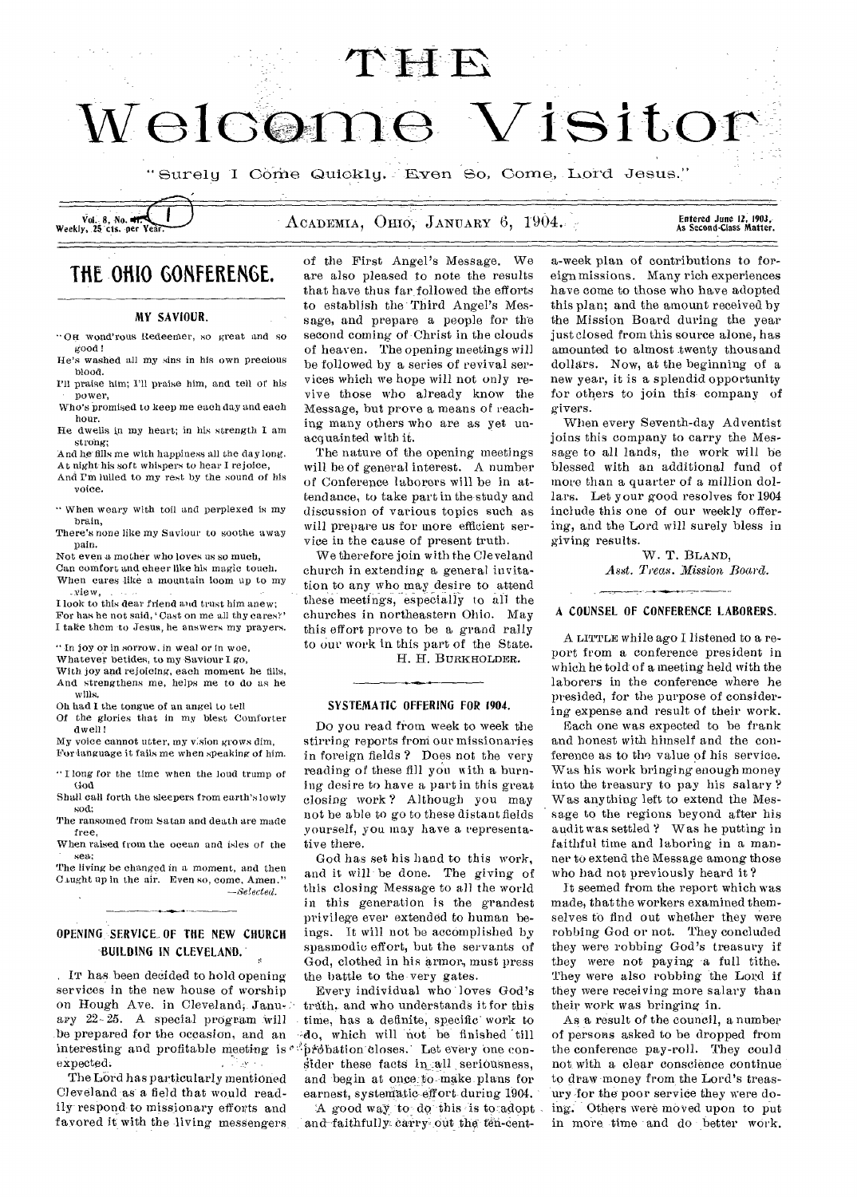

"Surely I Come Quickly. Even So, Come, Lord Jesus."

# Entered June 12, 1903,<br>As Second•Class Matter.

# **THE OHIO GONFERENGE.**

# MY SAVIOUR.

- •OR wond'rous Redeemer, so great and so good!
- He's washed all my sins in his own precious blood.
- I'll praise him; I'll praise him, and tell of his power,
- Who's promised to keep me each day and each hour.
- He dwells in my heart; in his strength I am strong;

And he fills me with happiness all the day long.

At night his soft whispers to hear I rejoice, And I'm lulled to my rest by the sound of his voice.

" When weary with toil and perplexed is my brain,

There's none like my Saviour to soothe away pain.

Not even a mother who loves us so much,

Can comfort and cheer like his magic touch. When cares like a mountain loom up to my

view,<br>view,<br>I look to this dear friend and trust him anew; For has he not said, 'Cast on me all thy cares?' I take them -to Jesus, he answers my prayers.

" In joy or in sorrow, in weal or in woe,

Whatever betides, to my Saviour I *go,* 

- With joy and rejoicing, each moment he fills, And strengthens me, helps me to do as he wills.
- Oh had I the tongue of an angel to tell
- Of the glories that in my blest Comforter dwell!
- My voice cannot utter, my vision grows dim, For language it fails me when speaking of him.
- " I long for the time when the loud trump of God

Shall call forth the sleepers from earth's lowly sod;

The ransomed from Satan and death are made free,

When raised from the ocean and isles of the - sea;

The living be changed in a moment, and then Caught up in the air. Even so, come, Amen."  $-Selected.$ 

# OPENING SERVICE.OF THE NEW CHURCH BUILDING IN CLEVELAND.

. IT has been decided to hold opening services in the new house of worship on Hough Ave. in Cleveland, January 22- 25. A special program Will be prepared for the occasion, and an interesting and profitable meeting is "probation closes. Let every one conexpected. an Pawle

The Lord has particularly mentioned Cleveland as a field that would readily respond to missionary efforts and favored it with the living messengers of the First Angel's Message. We are also pleased to note the results that have thus far followed the efforts to establish the Third Angel's Message, and prepare a people for the second coming of-Christ in the clouds of heaven. The opening meetings will be followed by a series of revival services which we hope will not only revive those who already know the Message, but prove a means of reaching many others who are as yet unacquainted with it.

The nature of the opening meetings will be of general interest. A number of Conference laborers will be in attendance, to take part in the-study and discussion of various topics such as will prepare us for more efficient service in the cause of present truth.

We therefore join with the Cleveland church in extending a general invitation to any,who may desire to attend these meetings, especially to all the churches in northeastern Ohio. May this effort prove to be a grand rally to our work in this part of the State.

H. H. BURKHOLDER.

#### SYSTEMATIC OFFERING FOR 1904.

Do you read from week to week the stirring reports from our missionaries in foreign fields ? Does not the very reading of these fill you with a burning desire to have a part in this great closing work ? Although you may not be able to go to these distant fields yourself, you may have a representative there.

God has set his hand to this work, and it will be done. The giving of this closing Message to all the world in this generation is the grandest privilege ever extended to human beings. It will not be accomplished by spasmodic effort, but the servants of God, clothed in his armor, must press the battle to the-very gates.

Every individual who loves God's truth. and who understands it for this time, has a definite, specific work to 41o, which will not be finished 'till sider these facts in all seriousness, and begin at once to make plans for earnest, systematic-effort-during 1904.

A good way to do this is to adopt and-faithfully carry out the ten-cent-

a-week plan of contributions to foreign missions. Many rich experiences have come to those who have adopted this plan; and the amount received by the Mission Board during the year just closed from this source alone, has amounted to almost twenty thousand dollars. Now, at the beginning of a new year, it is a splendid opportunity for others to join this company of givers.

When every Seventh-day Adventist joins this company to carry the Message to all lands, the work will be blessed with an additional fund of more than a quarter of a million dollars. Let your good resolves for 1904 include this one of our weekly offering, and the Lord will surely bless in giving results.

> W. T. BLAND, Asst. Treas. Mission, Board.

# A COUNSEL OF CONFERENCE LABORERS.

A LITTLE while ago I listened to a report from a conference president in which he told of a meeting held with the laborers in the conference where he presided, for the purpose of considering expense and result of their work.

Each one was expected to be frank and honest with himself and the conference as to the value of his service. Was his work bringing enough money into the treasury to pay his salary ? Was anything left to extend the Message to the regions beyond after his audit was settled ? Was he putting in faithful time and laboring in a manner to extend the Message among those who had not previously heard it ?

It seemed from the report which was made, that the workers examined themselves to find out whether they were robbing God or not. They concluded they were robbing God's treasury if they were not paying 'a full tithe. They were also robbing the Lord if they were receiving more salary than their work was bringing in.

As a result of the council, a number of persons asked to be dropped from the conference pay-roll. They could not with a clear conscience continue to draw money from the Lord's treasury for the poor service they were doing. Others were moved upon to put in more time and do better work.

Vol. 8, No. Weekly, 25 cts. per Year.  $\Delta$  ACADEMIA, OHIO, JANUARY 6, 1904.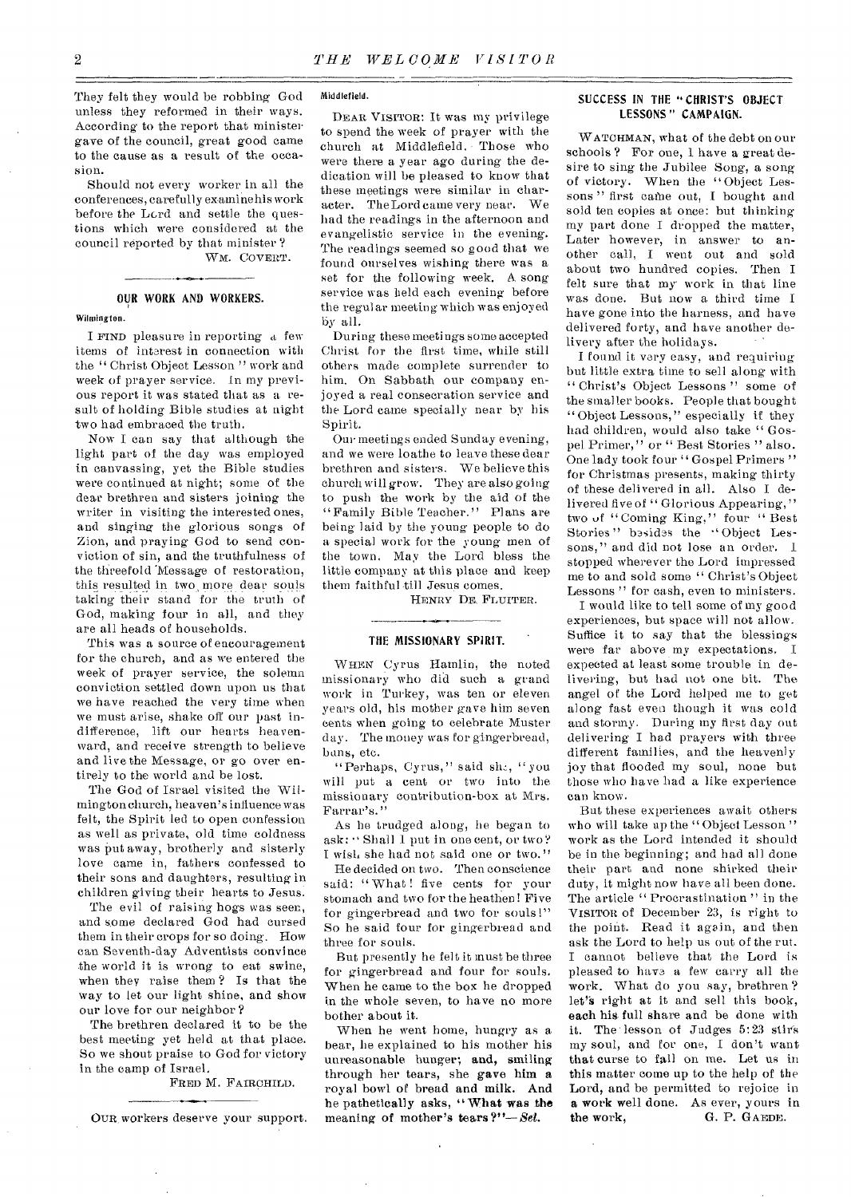They felt they would be robbing God unless they reformed in their ways. According to the report that minister gave of the council, great good came to the cause as a result of the occasion.

Should not every worker in all the conferences, carefully examinehis work before the Lord and settle the questions which were considered at the council reported by that minister ? WM. COVERT.

# OUR WORK AND WORKERS. Wilmington.

I FIND pleasure in reporting a few items of interest in connection with the " Christ Object Lesson " work and week of prayer service. In my previous report it was stated that as a result of holding Bible studies at night two had embraced the truth.

Now I can say that although the light part of the day was employed in canvassing, yet the Bible studies were continued at night; some of the dear brethren and sisters joining the writer in visiting the interested ones, and singing the glorious songs of Zion, and praying God to send conviction of sin, and the truthfulness of the threefold 'Message of restoration, this resulted in two more dear souls taking their stand for the truth of God, making four in all, and they are all heads of households.

This was a source of encouragement for the church, and as we entered the week of prayer service, the solemn conviction settled down upon us that we have reached the very time when we must arise, shake off our past indifference, lift our hearts heavenward, and receive strength to believe and live the Message, or go over entirely to the world and be lost.

The God of Israel visited the Wilmington church, heaven's influence was felt, the Spirit led to open confession as well as private, old time coldness was put away, brotherly and sisterly love came in, fathers confessed to their sons and daughters, resulting in children giving their hearts to Jesus.

The evil of raising hogs was seen, and some declared God had cursed them in their crops for so doing. How can Seventh-day Adventists convince the world it is wrong to eat swine, when they raise them ? Is that the way to let our light shine, and show our love for our neighbor ?

The brethren declared it to be the best meeting yet held at that place. So we shout praise to God for victory in the camp of Israel.

FRED M. FAIRCHILD.

OUR workers deserve your support.

#### Middlefield.

DEAR VISITOR: It was my privilege to spend the week of prayer with the church at Middlefield. Those who were there a year ago during the dedication will be pleased to know that these meetings were similar in character. The Lord came very near. We had the readings in the afternoon and evangelistic service in the evening. The readings seemed so good that we found ourselves wishing there was a set for the following week. A song service was held each evening before the regular meeting which was enjoyed by all.

During these meetings some accepted Christ for the first time, while still others made complete surrender to him. On Sabbath our company enjoyed a real consecration service and the Lord came specially near by his Spirit.

Our meetings ended Sunday evening, and we were loathe to leave these dear brethren and sisters. We believe this church will grow. They are also going to push the work by the aid of the "Family Bible Teacher." Plans are being laid by the young people to do a special work for the young men of the town. May the Lord bless the little company at this place and keep them faithful till Jesus comes.

HENRY DE, FLUITER.

### THE MISSIONARY SPIRIT.

WHEN Cyrus Hamlin, the noted missionary who did such a grand work in Turkey, was ten or eleven years old, his mother gave him seven cents when going to celebrate Muster day. The money was for gingerbread, bans, etc.

"Perhaps, Cyrus," said sh., "you will put a cent or two into the missionary contribution-box at Mrs. Farrar's."

As he trudged along, he began to ask: " Shall 1 put in one cent, or two? I wish she had not said one or two."

He decided on two. Then conscience said: "What! five cents for your stomach and two for the heathen! Five for gingerbread and two for souls!" So he said four for gingerbread and three for souls.

But presently he felt it must be three for gingerbread and four for souls. When he came to the box he dropped in the whole seven, to have no more bother about it.

When he went home, hungry as a bear, he explained to his mother his unreasonable hunger; and, smiling through her tears, she gave him a royal bowl of bread and milk. And he pathetically asks, "What was the meaning of mother's tears*?"—Set.* 

# SUCCESS IN THE "CHRIST'S OBJECT LESSONS " CAMPAIGN.

WATCHMAN, what of the debt on our schools ? For one, I have a great desire to sing the Jubilee Song, a song of victory. When the "Object Lessons" first came out, I bought and sold ten copies at once: but thinking my part done I dropped the matter, Later however, in answer to another call, I went out and sold about two hundred copies. Then I felt sure that my work in that line was done. But now a third time I have gone into the harness, and have delivered forty, and have another delivery after the holidays.

I found it very easy, and requiring but little extra time to sell along.with " Christ's Object Lessons" some of the smaller books. People that bought "Object Lessons," especially if they had children, would also take " Gospel Primer," or " Best Stories " also. One lady took four " Gospel Primers" for Christmas presents, making thirty of these delivered in all. Also I delivered five of "Glorious Appearing," two of "Coming King," four "Best Stories" besides the "Object Lessons," and did not lose an order. I stopped wherever the Lord impressed me to and sold some " Christ's Object Lessons" for cash, even to ministers.

I would like to tell some of my good experiences, but space will not allow. Suffice it to say that the blessings were far above my expectations. I expected at least some trouble in delivering, but had not one bit. The angel of the Lord helped me to get along fast even though it was cold and stormy. During my first day out delivering I had prayers with three different families, and the heavenly joy that flooded my soul, none but those who have had a like experience can know.

But these experiences await others who will take up the "Object Lesson" work as the Lord intended it should be in the beginning; and had all done their part and none shirked their duty, it might now have all been done. The article "Procrastination" in the VISITOR of December 23, is right to the point. Read it again, and then ask the Lord to help us out of the rut. I cannot believe that the Lord is pleased to have a few carry all the work. What do you say, brethren? let's right at it and sell this book, each his full share and be done with it. The lesson of Judges 5:23 stirs my soul, and for one, I don't want that curse to fall on me. Let us in this matter come up to the help of the Lord, and be permitted to rejoice in a work well done. As ever, yours in the work, G. P. GAEDE.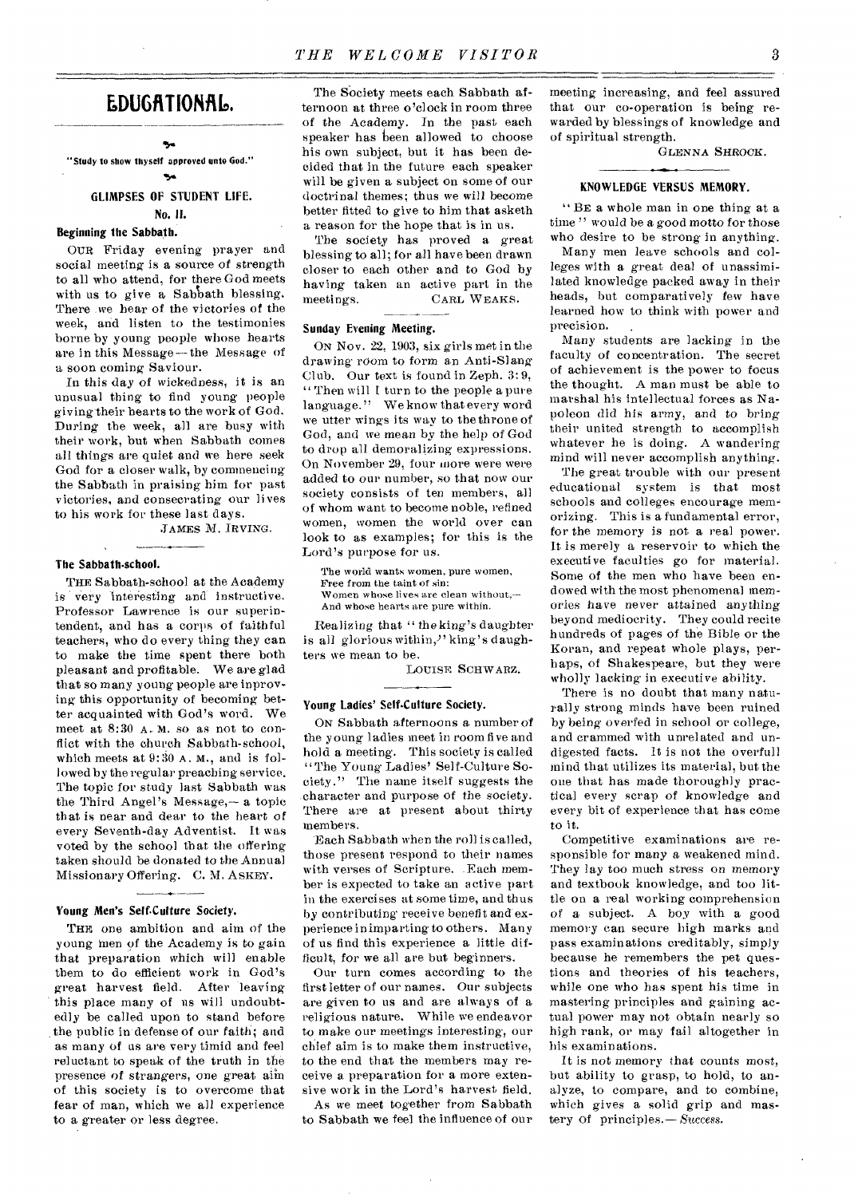# EDUGATIONAL.

# ۰,

"Study to show thyself approved unto God." 54

# GLIMPSES OF STUDENT LIFE. No. II.

## Beginning the Sabbath.

OUR Friday evening prayer and social meeting is a source of strength to all who attend, for there God meets with us to give a Sabbath blessing. There .we hear of the victories of the week, and listen to the testimonies borne by young people whose hearts are in this Message—the Message of a soon coming Saviour.

In this day of wickedness, it is an unusual thing to find young people giving-their hearts to the work of God. During the week, all are busy with their work, but when Sabbath comes all things are quiet and we here seek God for a closer walk, by commencing the Sabbath in praising him for past victories, and consecrating our lives to his work for these last days.

JAMES M. IRVING.

#### The Sabbath-school.

THE Sabbath-school at the Academy is very interesting and instructive. Professor Lawrence is our superintendent, and has a corps of faithful teachers, who do every thing they can to make the time spent there both pleasant and profitable. We are glad that so many young people are inproving this opportunity of becoming better acquainted with God's word. We meet at 8:30 A.M. so as not to conflict with the church Sabbath-school, which meets at 9:30 A. M., and is followed by the regular preaching service. The topic for study last Sabbath was the Third Angel's Message,— a topic that is near and dear to the heart of every Seventh-day Adventist. It was voted by the school that the offering taken should be donated to the Annual Missionary Offering. C. M. ASKEY.

## Young Men's Self-Culture Society.

THE one ambition and aim of the young men of the Academy is to gain that preparation which will enable them to do efficient work in God's great harvest field. After leaving this place many of us will undoubtedly be called upon to stand before the public in defense of our faith; and as many of us are very timid and feel reluctant to speak of the truth in the presence of strangers, one great aiin of this society is to overcome that fear of man, which we all experience to a greater or less degree.

The Society meets each Sabbath afternoon at three o'clock in room three of the Academy. In the past each speaker has been allowed to choose his own subject, but it has been decided that in the future each speaker will be given a subject on some of our doctrinal themes; thus we will become better fitted to give to him that asketh a reason for the hope that is in us.

The society has proved a great blessing to all; for all have been drawn closer to each other and to God by having taken an active part in the meetings. CARL WEAKS.

### Sunday Evening Meeting.

ON Nov. 22, 1903, six girls met in the drawing room to form an Anti-Slang Club. Our text is found in Zeph. 3: 9, " Then will I turn to the people a pure language." We know that every word we utter wings its way to the throne of God, and we mean by the help of God to drop all demoralizing expressions. On November 29, four more were were added to our number, so that now our society consists of ten members, all of whom want to become noble, refined women, women the world over can look to as examples; for this is the Lord's purpose for us.

The world wants women, pure women, Free from the taint of sin: Women whose lives are clean without,— And whose hearts are pure within.

Realizing that " the king's daughter is all glorious within," king's daughters we mean to be.

LOUISE SCHWARZ.

#### Young Ladies' Self-Culture Society.

ON Sabbath afternoons a number of the young ladies meet in room five and hold a meeting. This society is called "The Young Ladies' Self-Culture Society." The name itself suggests the character and purpose of the society. There are at present about thirty members.

Each Sabbath when the roll is called, those present respond to their names with verses of Scripture. Each member is expected to take an active part in the exercises at some time, and thus by contributing receive benefit and experienee in imparting to others. Many of us find this experience a little difficult, for we all are but beginners.

Our turn comes according to the first letter of our names. Our subjects are given to us and are always of a religious nature. While we endeavor to make our meetings interesting, our chief aim is to make them instructive, to the end that the members may receive a preparation for a more extensive work in the Lord's harvest field.

As we meet together from Sabbath to Sabbath we feel the influence of our meeting increasing, and feel assured that our co-operation is being rewarded by blessings of knowledge and of spiritual strength.

GLENNA SHROCK.

#### KNOWLEDGE VERSUS MEMORY.

"BE a whole man in one thing at a time" would be a good motto for those who desire to be strong in anything.

Many men leave schools and colleges with a great deal of unassimilated knowledge packed away in their heads, but comparatively few have learned how to think with power and precision.

Many students are lacking in the faculty of concentration. The secret of achievement is the power to focus the thought. A man must be able to marshal his intellectual forces as Napoleon did his army, and to bring their united strength to accomplish whatever he is doing. A wandering mind will never accomplish anything.

The great trouble with our present educational system is that most schools and colleges encourage memorizing. This is a fundamental error, for the memory is not a real power. It is merely a reservoir to which the executive faculties go for material. Some of the men who have been endowed with the most phenomenal memories have never attained anything beyond mediocrity. They could recite hundreds of pages of the Bible or the Koran, and repeat whole plays, perhaps, of Shakespeare, but they were wholly lacking in executive ability.

There is no doubt that many naturally strong minds have been ruined by *being* overfed in school or college, and crammed with unrelated and undigested facts. It is not the overfull mind that utilizes its material, but the one that has made thoroughly practical every scrap of knowledge and every bit of experience that has come to it.

Competitive examinations are responsible for many a weakened mind. They lay too much stress on memory and textbook knowledge, and too little on a real working comprehension of a subject. A boy with a good memory can secure high marks and pass examinations creditably, simply because he remembers the pet questions and theories of his teachers, while one who has spent his time in mastering principles and gaining actual power may not obtain nearly so high rank, or may fail altogether in his examinations.

It is not memory that counts most, but ability to grasp, to hold, to analyze, to compare, and to combine, which gives a solid grip and mastery of principles.— Success.